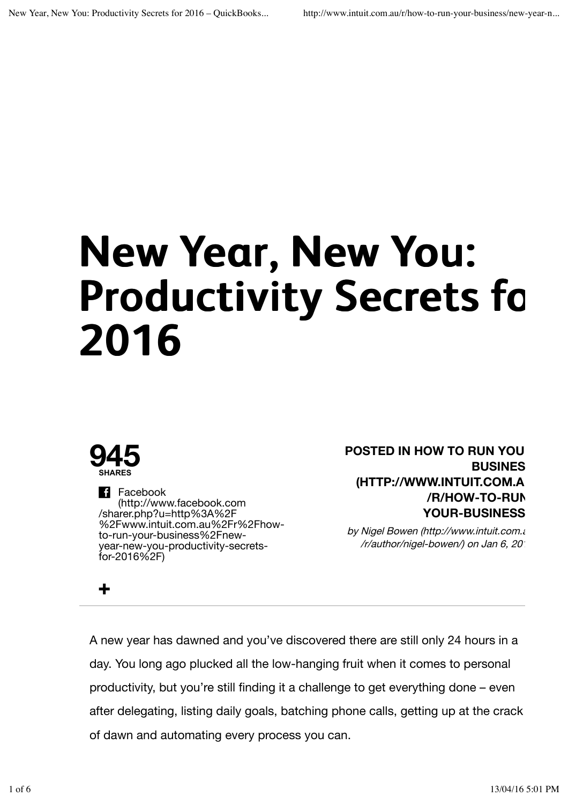# **New Year, New You: Productivity Secrets for 2016**



**+**

**Facebook** (http://www.facebook.com /sharer.php?u=http%3A%2F %2Fwww.intuit.com.au%2Fr%2Fhowto-run-your-business%2Fnewyear-new-you-productivity-secretsfor-2016%2F)

**POSTED IN HOW TO RUN YOU BUSINES (HTTP://WWW.INTUIT.COM.AU /R/HOW-TO-RUN-YOUR-BUSINESS/**

by Nigel Bowen (http://www.intuit.com.au /r/author/nigel-bowen/) on Jan 6, 2016

A new year has dawned and you've discovered there are still only 24 hours in a day. You long ago plucked all the low-hanging fruit when it comes to personal productivity, but you're still finding it a challenge to get everything done – even after delegating, listing daily goals, batching phone calls, getting up at the crack of dawn and automating every process you can.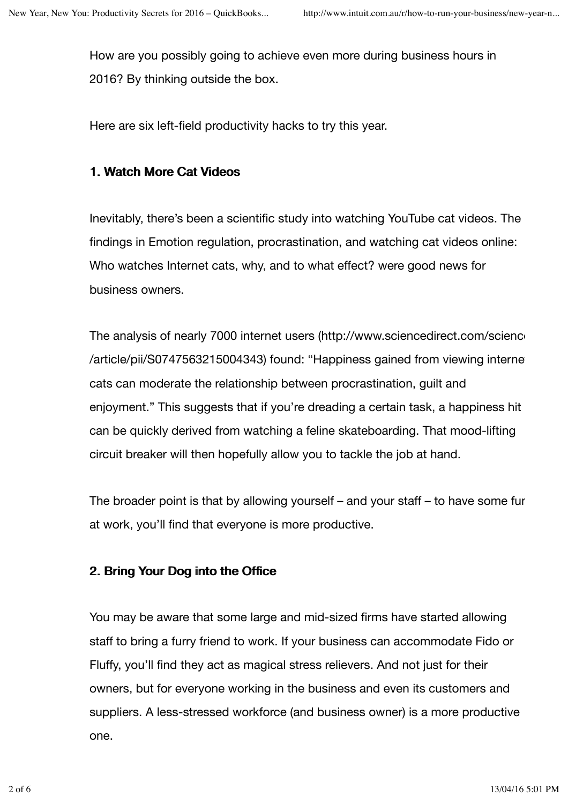How are you possibly going to achieve even more during business hours in 2016? By thinking outside the box.

Here are six left-field productivity hacks to try this year.

# 1. Watch More Cat Videos

Inevitably, there's been a scientific study into watching YouTube cat videos. The findings in Emotion regulation, procrastination, and watching cat videos online: Who watches Internet cats, why, and to what effect? were good news for business owners.

The analysis of nearly 7000 internet users (http://www.sciencedirect.com/science /article/pii/S0747563215004343) found: "Happiness gained from viewing interne cats can moderate the relationship between procrastination, guilt and enjoyment." This suggests that if you're dreading a certain task, a happiness hit can be quickly derived from watching a feline skateboarding. That mood-lifting circuit breaker will then hopefully allow you to tackle the job at hand.

The broader point is that by allowing yourself – and your staff – to have some fun at work, you'll find that everyone is more productive.

# 2. Bring Your Dog into the Office

You may be aware that some large and mid-sized firms have started allowing staff to bring a furry friend to work. If your business can accommodate Fido or Fluffy, you'll find they act as magical stress relievers. And not just for their owners, but for everyone working in the business and even its customers and suppliers. A less-stressed workforce (and business owner) is a more productive one.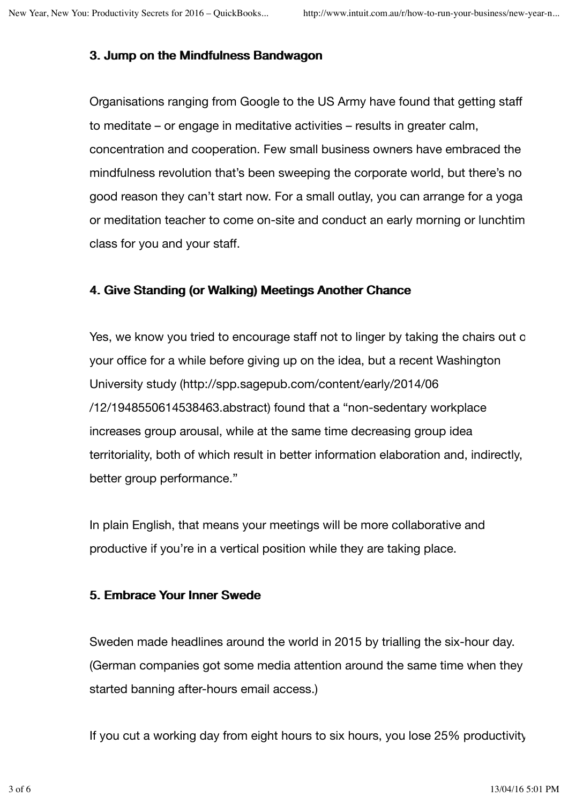# 3. Jump on the Mindfulness Bandwagon

Organisations ranging from Google to the US Army have found that getting staff to meditate – or engage in meditative activities – results in greater calm, concentration and cooperation. Few small business owners have embraced the mindfulness revolution that's been sweeping the corporate world, but there's no good reason they can't start now. For a small outlay, you can arrange for a yoga or meditation teacher to come on-site and conduct an early morning or lunchtim class for you and your staff.

## 4. Give Standing (or Walking) Meetings Another Chance

Yes, we know you tried to encourage staff not to linger by taking the chairs out of your office for a while before giving up on the idea, but a recent Washington University study (http://spp.sagepub.com/content/early/2014/06 /12/1948550614538463.abstract) found that a "non-sedentary workplace increases group arousal, while at the same time decreasing group idea territoriality, both of which result in better information elaboration and, indirectly, better group performance."

In plain English, that means your meetings will be more collaborative and productive if you're in a vertical position while they are taking place.

## 5. Embrace Your Inner Swede

Sweden made headlines around the world in 2015 by trialling the six-hour day. (German companies got some media attention around the same time when they started banning after-hours email access.)

If you cut a working day from eight hours to six hours, you lose 25% productivity,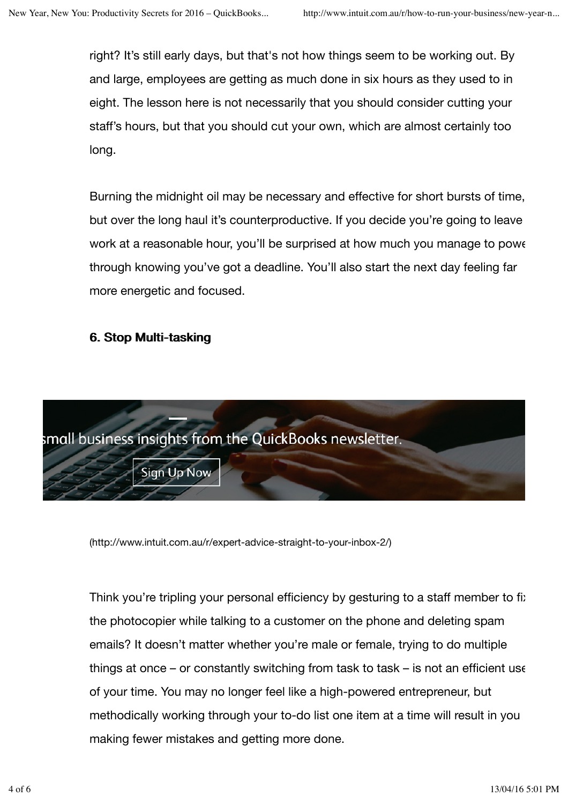right? It's still early days, but that's not how things seem to be working out. By and large, employees are getting as much done in six hours as they used to in eight. The lesson here is not necessarily that you should consider cutting your staff's hours, but that you should cut your own, which are almost certainly too long.

Burning the midnight oil may be necessary and effective for short bursts of time, but over the long haul it's counterproductive. If you decide you're going to leave work at a reasonable hour, you'll be surprised at how much you manage to power through knowing you've got a deadline. You'll also start the next day feeling far more energetic and focused.

#### 6. Stop Multi-tasking



(http://www.intuit.com.au/r/expert-advice-straight-to-your-inbox-2/)

Think you're tripling your personal efficiency by gesturing to a staff member to fix the photocopier while talking to a customer on the phone and deleting spam emails? It doesn't matter whether you're male or female, trying to do multiple things at once – or constantly switching from task to task – is not an efficient use of your time. You may no longer feel like a high-powered entrepreneur, but methodically working through your to-do list one item at a time will result in you making fewer mistakes and getting more done.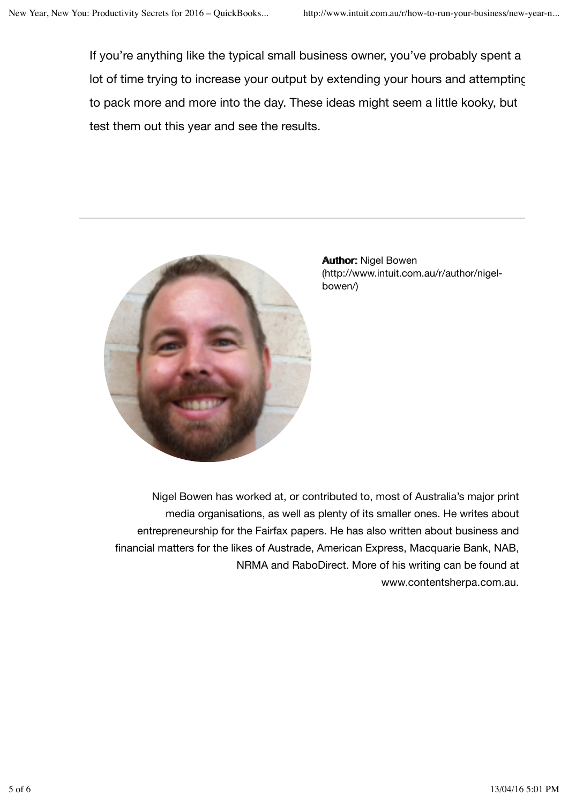If you're anything like the typical small business owner, you've probably spent a lot of time trying to increase your output by extending your hours and attempting to pack more and more into the day. These ideas might seem a little kooky, but test them out this year and see the results.



**Author: Nigel Bowen** (http://www.intuit.com.au/r/author/nigelbowen/)

Nigel Bowen has worked at, or contributed to, most of Australia's major print media organisations, as well as plenty of its smaller ones. He writes about entrepreneurship for the Fairfax papers. He has also written about business and financial matters for the likes of Austrade, American Express, Macquarie Bank, NAB, NRMA and RaboDirect. More of his writing can be found at www.contentsherpa.com.au.